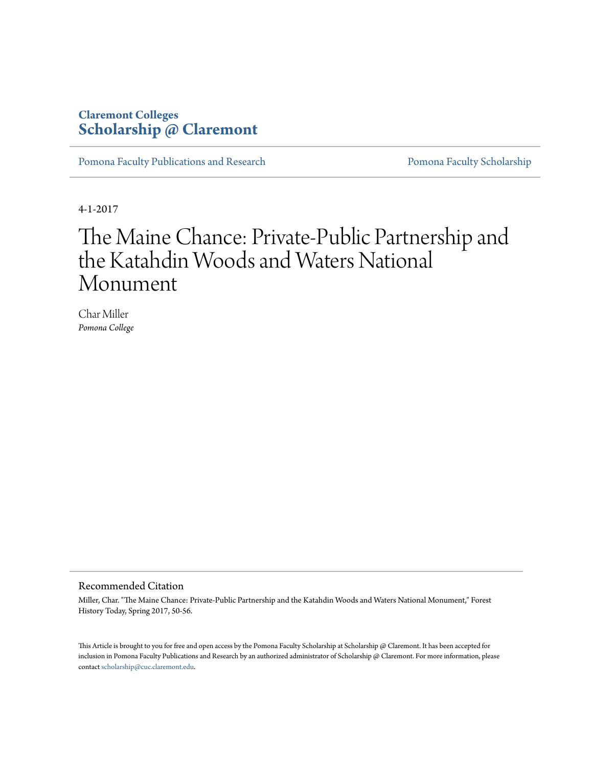## **Claremont Colleges [Scholarship @ Claremont](http://scholarship.claremont.edu)**

[Pomona Faculty Publications and Research](http://scholarship.claremont.edu/pomona_fac_pub) [Pomona Faculty Scholarship](http://scholarship.claremont.edu/pomona_faculty)

4-1-2017

## The Maine Chance: Private-Public Partnership and the Katahdin Woods and Waters National Monument

Char Miller *Pomona College*

## Recommended Citation

Miller, Char. "The Maine Chance: Private-Public Partnership and the Katahdin Woods and Waters National Monument," Forest History Today, Spring 2017, 50-56.

This Article is brought to you for free and open access by the Pomona Faculty Scholarship at Scholarship @ Claremont. It has been accepted for inclusion in Pomona Faculty Publications and Research by an authorized administrator of Scholarship @ Claremont. For more information, please contact [scholarship@cuc.claremont.edu](mailto:scholarship@cuc.claremont.edu).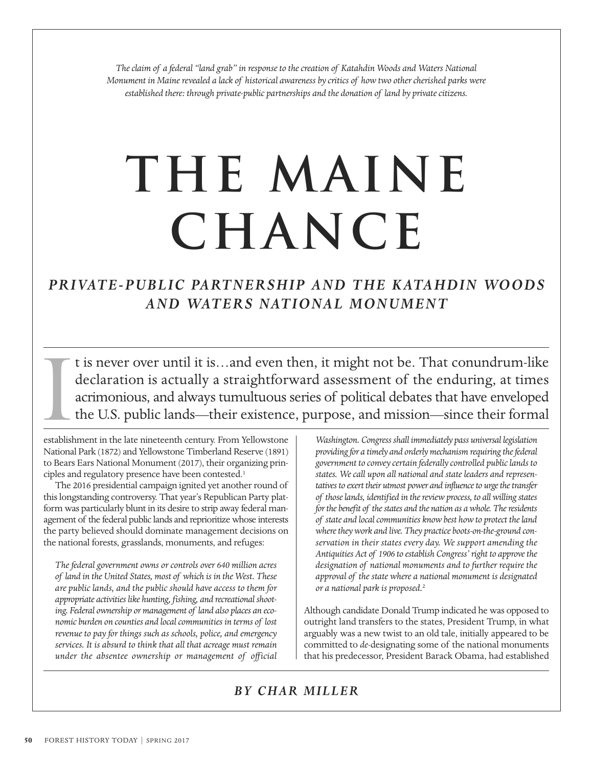*The claim of a federal "land grab" in response to the creation of Katahdin Woods and Waters National Monument in Maine revealed a lack of historical awareness by critics of how two other cherished parks were established there: through private-public partnerships and the donation of land by private citizens.* 

# **The maine chance**

## *PRIVATE-PUBLIC PARTNERSHIP AND THE KATAHDIN WOODS AND WATERS NATIONAL MONUMENT*

t is never over until it is…and even then, it might not be. That conundrum-like declaration is actually a straightforward assessment of the enduring, at times acrimonious, and always tumultuous series of political debates that have enveloped the U.S. public lands—their existence, purpose, and mission—since their formal I

establishment in the late nineteenth century. From Yellowstone National Park (1872) and Yellowstone Timberland Reserve (1891) to Bears Ears National Monument (2017), their organizing principles and regulatory presence have been contested.<sup>1</sup>

The 2016 presidential campaign ignited yet another round of this longstanding controversy. That year's Republican Party platform was particularly blunt in its desire to strip away federal management of the federal public lands and reprioritize whose interests the party believed should dominate management decisions on the national forests, grasslands, monuments, and refuges:

*The federal government owns or controls over 640 million acres of land in the United States, most of which is in the West. These are public lands, and the public should have access to them for appropriate activities like hunting, fishing, and recreational shooting. Federal ownership or management of land also places an economic burden on counties and local communities in terms of lost revenue to pay for things such as schools, police, and emergency services. It is absurd to think that all that acreage must remain under the absentee ownership or management of official*

*Washington. Congress shall immediately pass universal legislation providing for a timely and orderly mechanism requiring the federal government to convey certain federally controlled public lands to states. We call upon all national and state leaders and representatives to exert their utmost power and influence to urge the transfer of those lands, identified in the review process, to all willing states for the benefit of the states and the nation as a whole. The residents of state and local communities know best how to protect the land where they work and live. They practice boots-on-the-ground conservation in their states every day. We support amending the Antiquities Act of 1906 to establish Congress' right to approve the designation of national monuments and to further require the approval of the state where a national monument is designated or a national park is proposed.*<sup>2</sup>

Although candidate Donald Trump indicated he was opposed to outright land transfers to the states, President Trump, in what arguably was a new twist to an old tale, initially appeared to be committed to *de*-designating some of the national monuments that his predecessor, President Barack Obama, had established

## *BY CHAR MILLER*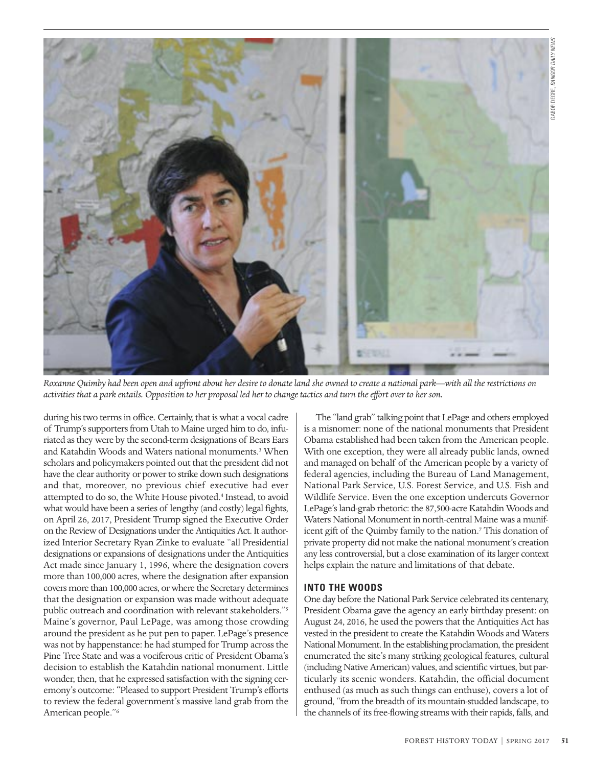

*Roxanne Quimby had been open and upfront about her desire to donate land she owned to create a national park—with all the restrictions on activities that a park entails. Opposition to her proposal led her to change tactics and turn the effort over to her son.*

during his two terms in office. Certainly, that is what a vocal cadre of Trump's supporters from Utah to Maine urged him to do, infuriated as they were by the second-term designations of Bears Ears and Katahdin Woods and Waters national monuments.<sup>3</sup> When scholars and policymakers pointed out that the president did not have the clear authority or power to strike down such designations and that, moreover, no previous chief executive had ever attempted to do so, the White House pivoted.<sup>4</sup> Instead, to avoid what would have been a series of lengthy (and costly) legal fights, on April 26, 2017, President Trump signed the Executive Order on the Review of Designations under the Antiquities Act. It authorized Interior Secretary Ryan Zinke to evaluate "all Presidential designations or expansions of designations under the Antiquities Act made since January 1, 1996, where the designation covers more than 100,000 acres, where the designation after expansion covers more than 100,000 acres, or where the Secretary determines that the designation or expansion was made without adequate public outreach and coordination with relevant stakeholders."5 Maine's governor, Paul LePage, was among those crowding around the president as he put pen to paper. LePage's presence was not by happenstance: he had stumped for Trump across the Pine Tree State and was a vociferous critic of President Obama's decision to establish the Katahdin national monument. Little wonder, then, that he expressed satisfaction with the signing ceremony's outcome: "Pleased to support President Trump's efforts to review the federal government's massive land grab from the American people."6

The "land grab" talking point that LePage and others employed is a misnomer: none of the national monuments that President Obama established had been taken from the American people. With one exception, they were all already public lands, owned and managed on behalf of the American people by a variety of federal agencies, including the Bureau of Land Management, National Park Service, U.S. Forest Service, and U.S. Fish and Wildlife Service. Even the one exception undercuts Governor LePage's land-grab rhetoric: the 87,500-acre Katahdin Woods and Waters National Monument in north-central Maine was a munificent gift of the Quimby family to the nation.<sup>7</sup> This donation of private property did not make the national monument's creation any less controversial, but a close examination of its larger context helps explain the nature and limitations of that debate.

### **INTO THE WOODS**

One day before the National Park Service celebrated its centenary, President Obama gave the agency an early birthday present: on August 24, 2016, he used the powers that the Antiquities Act has vested in the president to create the Katahdin Woods and Waters National Monument. In the establishing proclamation, the president enumerated the site's many striking geological features, cultural (including Native American) values, and scientific virtues, but particularly its scenic wonders. Katahdin, the official document enthused (as much as such things can enthuse), covers a lot of ground, "from the breadth of its mountain-studded landscape, to the channels of its free-flowing streams with their rapids, falls, and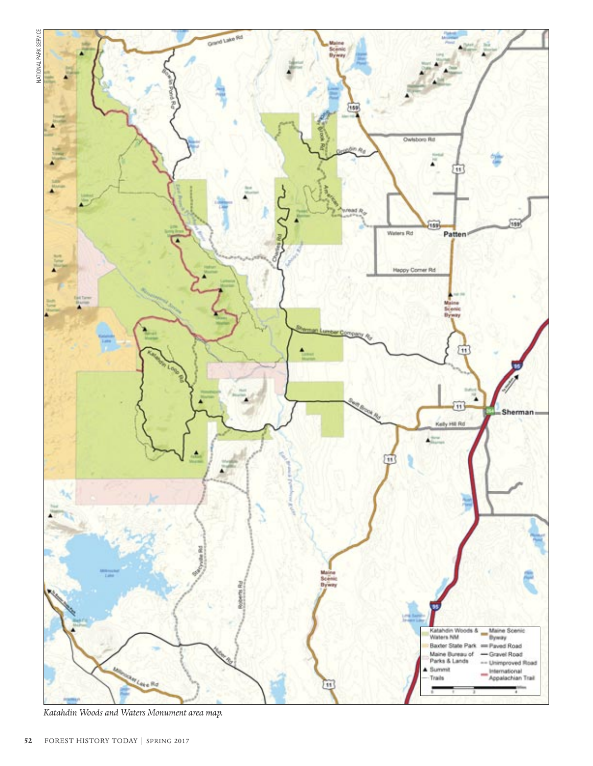

*Katahdin Woods and Waters Monument area map.*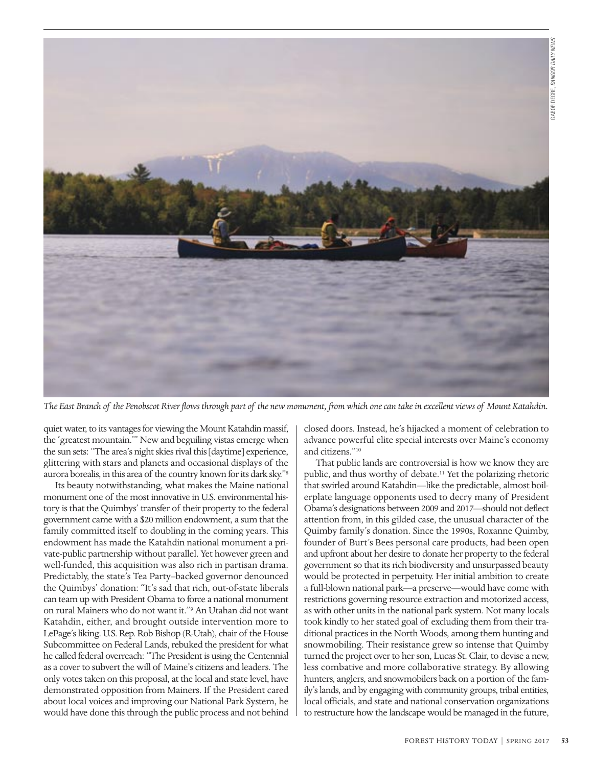

*The East Branch of the Penobscot River flows through part of the new monument, from which one can take in excellent views of Mount Katahdin.*

quiet water, to its vantages for viewing the Mount Katahdin massif, the 'greatest mountain.'" New and beguiling vistas emerge when the sun sets: "The area's night skies rival this [daytime] experience, glittering with stars and planets and occasional displays of the aurora borealis, in this area of the country known for its dark sky."8

Its beauty notwithstanding, what makes the Maine national monument one of the most innovative in U.S. environmental history is that the Quimbys' transfer of their property to the federal government came with a \$20 million endowment, a sum that the family committed itself to doubling in the coming years. This endowment has made the Katahdin national monument a private-public partnership without parallel. Yet however green and well-funded, this acquisition was also rich in partisan drama. Predictably, the state's Tea Party–backed governor denounced the Quimbys' donation: "It's sad that rich, out-of-state liberals can team up with President Obama to force a national monument on rural Mainers who do not want it."9 An Utahan did not want Katahdin, either, and brought outside intervention more to LePage's liking. U.S. Rep. Rob Bishop (R-Utah), chair of the House Subcommittee on Federal Lands, rebuked the president for what he called federal overreach: "The President is using the Centennial as a cover to subvert the will of Maine's citizens and leaders. The only votes taken on this proposal, at the local and state level, have demonstrated opposition from Mainers. If the President cared about local voices and improving our National Park System, he would have done this through the public process and not behind closed doors. Instead, he's hijacked a moment of celebration to advance powerful elite special interests over Maine's economy and citizens."10

That public lands are controversial is how we know they are public, and thus worthy of debate.11 Yet the polarizing rhetoric that swirled around Katahdin—like the predictable, almost boilerplate language opponents used to decry many of President Obama's designations between 2009 and 2017—should not deflect attention from, in this gilded case, the unusual character of the Quimby family's donation. Since the 1990s, Roxanne Quimby, founder of Burt's Bees personal care products, had been open and upfront about her desire to donate her property to the federal government so that its rich biodiversity and unsurpassed beauty would be protected in perpetuity. Her initial ambition to create a full-blown national park—a preserve—would have come with restrictions governing resource extraction and motorized access, as with other units in the national park system. Not many locals took kindly to her stated goal of excluding them from their traditional practices in the North Woods, among them hunting and snowmobiling. Their resistance grew so intense that Quimby turned the project over to her son, Lucas St. Clair, to devise a new, less combative and more collaborative strategy. By allowing hunters, anglers, and snowmobilers back on a portion of the family's lands, and by engaging with community groups, tribal entities, local officials, and state and national conservation organizations to restructure how the landscape would be managed in the future,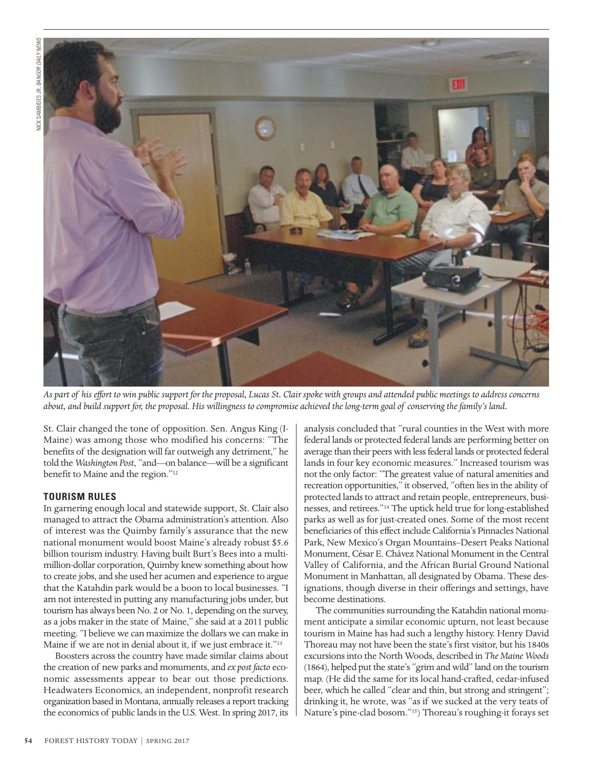

*As part of his effort to win public support for the proposal, Lucas St. Clair spoke with groups and attended public meetings to address concerns about, and build support for, the proposal. His willingness to compromise achieved the long-term goal of conserving the family's land.*

St. Clair changed the tone of opposition. Sen. Angus King (I-Maine) was among those who modified his concerns: "The benefits of the designation will far outweigh any detriment," he told the *Washington Post*, "and—on balance—will be a significant benefit to Maine and the region."<sup>12</sup>

#### **TOURISM RULES**

In garnering enough local and statewide support, St. Clair also managed to attract the Obama administration's attention. Also of interest was the Quimby family's assurance that the new national monument would boost Maine's already robust \$5.6 billion tourism industry. Having built Burt's Bees into a multimillion-dollar corporation, Quimby knew something about how to create jobs, and she used her acumen and experience to argue that the Katahdin park would be a boon to local businesses. "I am not interested in putting any manufacturing jobs under, but tourism has always been No. 2 or No. 1, depending on the survey, as a jobs maker in the state of Maine," she said at a 2011 public meeting. "I believe we can maximize the dollars we can make in Maine if we are not in denial about it, if we just embrace it."<sup>13</sup>

Boosters across the country have made similar claims about the creation of new parks and monuments, and *ex post facto* economic assessments appear to bear out those predictions. Headwaters Economics, an independent, nonprofit research organization based in Montana, annually releases a report tracking the economics of public lands in the U.S. West. In spring 2017, its

analysis concluded that "rural counties in the West with more federal lands or protected federal lands are performing better on average than their peers with less federal lands or protected federal lands in four key economic measures." Increased tourism was not the only factor: "The greatest value of natural amenities and recreation opportunities," it observed, "often lies in the ability of protected lands to attract and retain people, entrepreneurs, businesses, and retirees."14 The uptick held true for long-established parks as well as for just-created ones. Some of the most recent beneficiaries of this effect include California's Pinnacles National Park, New Mexico's Organ Mountains–Desert Peaks National Monument, César E. Chávez National Monument in the Central Valley of California, and the African Burial Ground National Monument in Manhattan, all designated by Obama. These designations, though diverse in their offerings and settings, have become destinations.

The communities surrounding the Katahdin national monument anticipate a similar economic upturn, not least because tourism in Maine has had such a lengthy history. Henry David Thoreau may not have been the state's first visitor, but his 1840s excursions into the North Woods, described in *The Maine Woods* (1864), helped put the state's "grim and wild" land on the tourism map. (He did the same for its local hand-crafted, cedar-infused beer, which he called "clear and thin, but strong and stringent"; drinking it, he wrote, was "as if we sucked at the very teats of Nature's pine-clad bosom."15) Thoreau's roughing-it forays set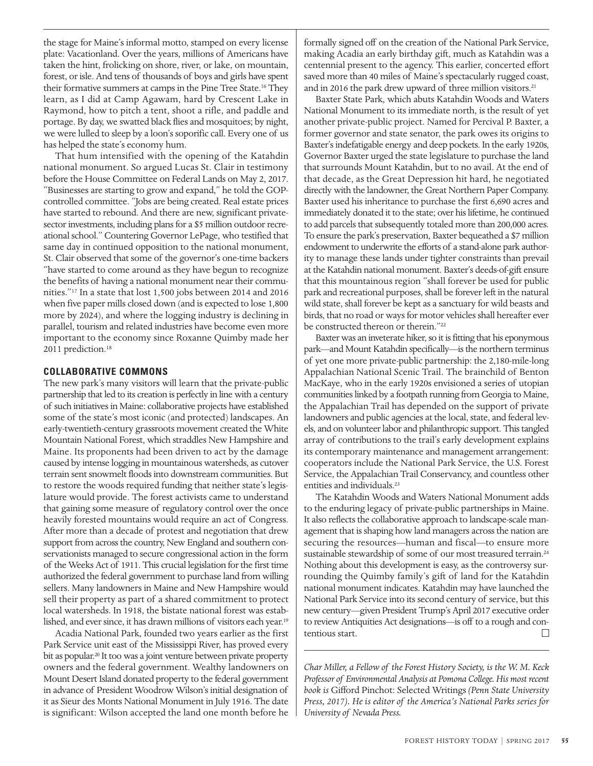the stage for Maine's informal motto, stamped on every license plate: Vacationland. Over the years, millions of Americans have taken the hint, frolicking on shore, river, or lake, on mountain, forest, or isle. And tens of thousands of boys and girls have spent their formative summers at camps in the Pine Tree State.16 They learn, as I did at Camp Agawam, hard by Crescent Lake in Raymond, how to pitch a tent, shoot a rifle, and paddle and portage. By day, we swatted black flies and mosquitoes; by night, we were lulled to sleep by a loon's soporific call. Every one of us has helped the state's economy hum.

That hum intensified with the opening of the Katahdin national monument. So argued Lucas St. Clair in testimony before the House Committee on Federal Lands on May 2, 2017. "Businesses are starting to grow and expand," he told the GOPcontrolled committee. "Jobs are being created. Real estate prices have started to rebound. And there are new, significant privatesector investments, including plans for a \$5 million outdoor recreational school." Countering Governor LePage, who testified that same day in continued opposition to the national monument, St. Clair observed that some of the governor's one-time backers "have started to come around as they have begun to recognize the benefits of having a national monument near their communities."17 In a state that lost 1,500 jobs between 2014 and 2016 when five paper mills closed down (and is expected to lose 1,800 more by 2024), and where the logging industry is declining in parallel, tourism and related industries have become even more important to the economy since Roxanne Quimby made her 2011 prediction.<sup>18</sup>

#### **COLLABORATIVE COMMONS**

The new park's many visitors will learn that the private-public partnership that led to its creation is perfectly in line with a century of such initiatives in Maine: collaborative projects have established some of the state's most iconic (and protected) landscapes. An early-twentieth-century grassroots movement created the White Mountain National Forest, which straddles New Hampshire and Maine. Its proponents had been driven to act by the damage caused by intense logging in mountainous watersheds, as cutover terrain sent snowmelt floods into downstream communities. But to restore the woods required funding that neither state's legislature would provide. The forest activists came to understand that gaining some measure of regulatory control over the once heavily forested mountains would require an act of Congress. After more than a decade of protest and negotiation that drew support from across the country, New England and southern conservationists managed to secure congressional action in the form of the Weeks Act of 1911. This crucial legislation for the first time authorized the federal government to purchase land from willing sellers. Many landowners in Maine and New Hampshire would sell their property as part of a shared commitment to protect local watersheds. In 1918, the bistate national forest was established, and ever since, it has drawn millions of visitors each year.19

Acadia National Park, founded two years earlier as the first Park Service unit east of the Mississippi River, has proved every bit as popular.<sup>20</sup> It too was a joint venture between private property owners and the federal government. Wealthy landowners on Mount Desert Island donated property to the federal government in advance of President Woodrow Wilson's initial designation of it as Sieur des Monts National Monument in July 1916. The date is significant: Wilson accepted the land one month before he

 formally signed off on the creation of the National Park Service, making Acadia an early birthday gift, much as Katahdin was a centennial present to the agency. This earlier, concerted effort saved more than 40 miles of Maine's spectacularly rugged coast, and in 2016 the park drew upward of three million visitors.<sup>21</sup>

Baxter State Park, which abuts Katahdin Woods and Waters National Monument to its immediate north, is the result of yet another private-public project. Named for Percival P. Baxter, a former governor and state senator, the park owes its origins to Baxter's indefatigable energy and deep pockets. In the early 1920s, Governor Baxter urged the state legislature to purchase the land that surrounds Mount Katahdin, but to no avail. At the end of that decade, as the Great Depression hit hard, he negotiated directly with the landowner, the Great Northern Paper Company. Baxter used his inheritance to purchase the first 6,690 acres and immediately donated it to the state; over his lifetime, he continued to add parcels that subsequently totaled more than 200,000 acres. To ensure the park's preservation, Baxter bequeathed a \$7 million endowment to underwrite the efforts of a stand-alone park authority to manage these lands under tighter constraints than prevail at the Katahdin national monument. Baxter's deeds-of-gift ensure that this mountainous region "shall forever be used for public park and recreational purposes, shall be forever left in the natural wild state, shall forever be kept as a sanctuary for wild beasts and birds, that no road or ways for motor vehicles shall hereafter ever be constructed thereon or therein."22

Baxter was an inveterate hiker, so it is fitting that his eponymous park—and Mount Katahdin specifically—is the northern terminus of yet one more private-public partnership: the 2,180-mile-long Appalachian National Scenic Trail. The brainchild of Benton MacKaye, who in the early 1920s envisioned a series of utopian communities linked by a footpath running from Georgia to Maine, the Appalachian Trail has depended on the support of private landowners and public agencies at the local, state, and federal levels, and on volunteer labor and philanthropic support. This tangled array of contributions to the trail's early development explains its contemporary maintenance and management arrangement: cooperators include the National Park Service, the U.S. Forest Service, the Appalachian Trail Conservancy, and countless other entities and individuals.<sup>23</sup>

The Katahdin Woods and Waters National Monument adds to the enduring legacy of private-public partnerships in Maine. It also reflects the collaborative approach to landscape-scale management that is shaping how land managers across the nation are securing the resources—human and fiscal—to ensure more sustainable stewardship of some of our most treasured terrain.<sup>24</sup> Nothing about this development is easy, as the controversy surrounding the Quimby family's gift of land for the Katahdin national monument indicates. Katahdin may have launched the National Park Service into its second century of service, but this new century—given President Trump's April 2017 executive order to review Antiquities Act designations—is off to a rough and contentious start.  $\Box$ 

*Char Miller, a Fellow of the Forest History Society, is the W. M. Keck Professor of Environmental Analysis at Pomona College. His most recent book is* Gifford Pinchot: Selected Writings *(Penn State University Press, 2017). He is editor of the America's National Parks series for University of Nevada Press.*